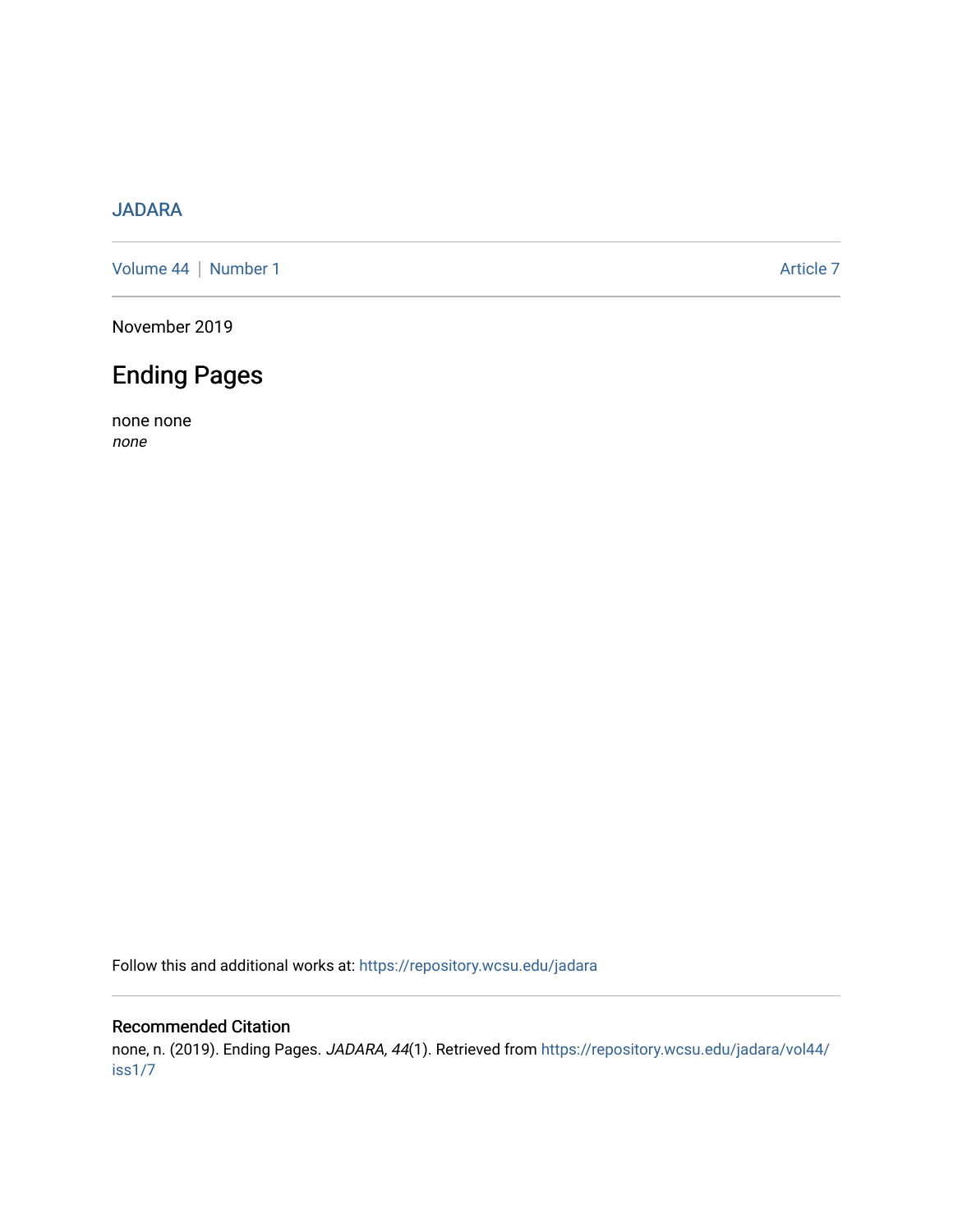### [JADARA](https://repository.wcsu.edu/jadara)

[Volume 44](https://repository.wcsu.edu/jadara/vol44) | [Number 1](https://repository.wcsu.edu/jadara/vol44/iss1) Article 7

November 2019

# Ending Pages

none none none

Follow this and additional works at: [https://repository.wcsu.edu/jadara](https://repository.wcsu.edu/jadara?utm_source=repository.wcsu.edu%2Fjadara%2Fvol44%2Fiss1%2F7&utm_medium=PDF&utm_campaign=PDFCoverPages)

#### Recommended Citation

none, n. (2019). Ending Pages. JADARA, 44(1). Retrieved from [https://repository.wcsu.edu/jadara/vol44/](https://repository.wcsu.edu/jadara/vol44/iss1/7?utm_source=repository.wcsu.edu%2Fjadara%2Fvol44%2Fiss1%2F7&utm_medium=PDF&utm_campaign=PDFCoverPages) [iss1/7](https://repository.wcsu.edu/jadara/vol44/iss1/7?utm_source=repository.wcsu.edu%2Fjadara%2Fvol44%2Fiss1%2F7&utm_medium=PDF&utm_campaign=PDFCoverPages)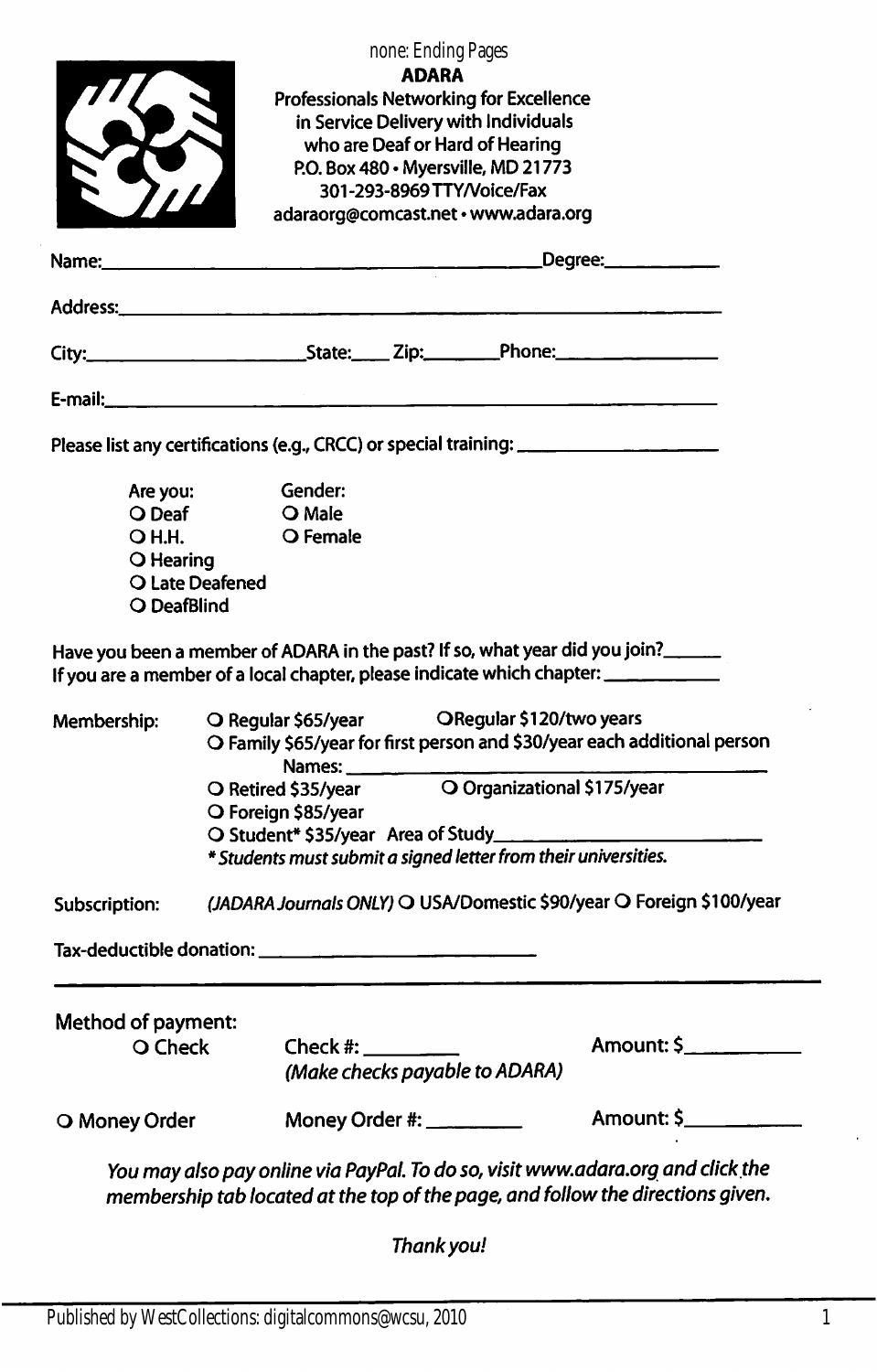| O Money Order                 |                                                                                                                                                                               | Money Order #: _________                   |                    |                                                                        | Amount: \$                                                                                                                                                      |  |
|-------------------------------|-------------------------------------------------------------------------------------------------------------------------------------------------------------------------------|--------------------------------------------|--------------------|------------------------------------------------------------------------|-----------------------------------------------------------------------------------------------------------------------------------------------------------------|--|
| Method of payment:<br>O Check |                                                                                                                                                                               | Check $#$ :                                |                    | (Make checks payable to ADARA)                                         | Amount: \$____________                                                                                                                                          |  |
|                               |                                                                                                                                                                               |                                            |                    |                                                                        |                                                                                                                                                                 |  |
|                               |                                                                                                                                                                               |                                            |                    |                                                                        |                                                                                                                                                                 |  |
| Subscription:                 |                                                                                                                                                                               |                                            |                    |                                                                        | (JADARA Journals ONLY) O USA/Domestic \$90/year O Foreign \$100/year                                                                                            |  |
|                               | * Students must submit a signed letter from their universities.                                                                                                               |                                            |                    |                                                                        |                                                                                                                                                                 |  |
|                               |                                                                                                                                                                               | O Retired \$35/year<br>O Foreign \$85/year |                    |                                                                        |                                                                                                                                                                 |  |
| Membership:                   | O Regular \$65/year ORegular \$120/two years<br>O Family \$65/year for first person and \$30/year each additional person<br>Names: ___________<br>O Organizational \$175/year |                                            |                    |                                                                        |                                                                                                                                                                 |  |
|                               |                                                                                                                                                                               |                                            |                    |                                                                        | Have you been a member of ADARA in the past? If so, what year did you join?<br>If you are a member of a local chapter, please indicate which chapter: _________ |  |
| O DeafBlind                   | O Late Deafened                                                                                                                                                               |                                            |                    |                                                                        |                                                                                                                                                                 |  |
| O Hearing                     |                                                                                                                                                                               |                                            |                    |                                                                        |                                                                                                                                                                 |  |
| O Deaf<br><b>OH.H.</b>        |                                                                                                                                                                               | O Male<br>O Female                         |                    |                                                                        |                                                                                                                                                                 |  |
| Are you:                      |                                                                                                                                                                               | Gender:                                    |                    |                                                                        |                                                                                                                                                                 |  |
|                               |                                                                                                                                                                               |                                            |                    |                                                                        | Please list any certifications (e.g., CRCC) or special training: ___________________________________                                                            |  |
|                               |                                                                                                                                                                               |                                            |                    |                                                                        |                                                                                                                                                                 |  |
|                               |                                                                                                                                                                               |                                            |                    |                                                                        |                                                                                                                                                                 |  |
|                               |                                                                                                                                                                               |                                            |                    |                                                                        |                                                                                                                                                                 |  |
| Name:                         |                                                                                                                                                                               |                                            |                    |                                                                        | Degree: _________                                                                                                                                               |  |
|                               |                                                                                                                                                                               |                                            |                    | 301-293-8969 TTY/Voice/Fax<br>adaraorg@comcast.net · www.adara.org     |                                                                                                                                                                 |  |
|                               |                                                                                                                                                                               |                                            |                    | who are Deaf or Hard of Hearing<br>P.O. Box 480 · Myersville, MD 21773 |                                                                                                                                                                 |  |
|                               |                                                                                                                                                                               |                                            |                    | in Service Delivery with Individuals                                   |                                                                                                                                                                 |  |
|                               |                                                                                                                                                                               |                                            | <b>ADARA</b>       | <b>Professionals Networking for Excellence</b>                         |                                                                                                                                                                 |  |
|                               |                                                                                                                                                                               |                                            | none: Ending Pages |                                                                        |                                                                                                                                                                 |  |
|                               |                                                                                                                                                                               |                                            |                    |                                                                        |                                                                                                                                                                 |  |

Thank you!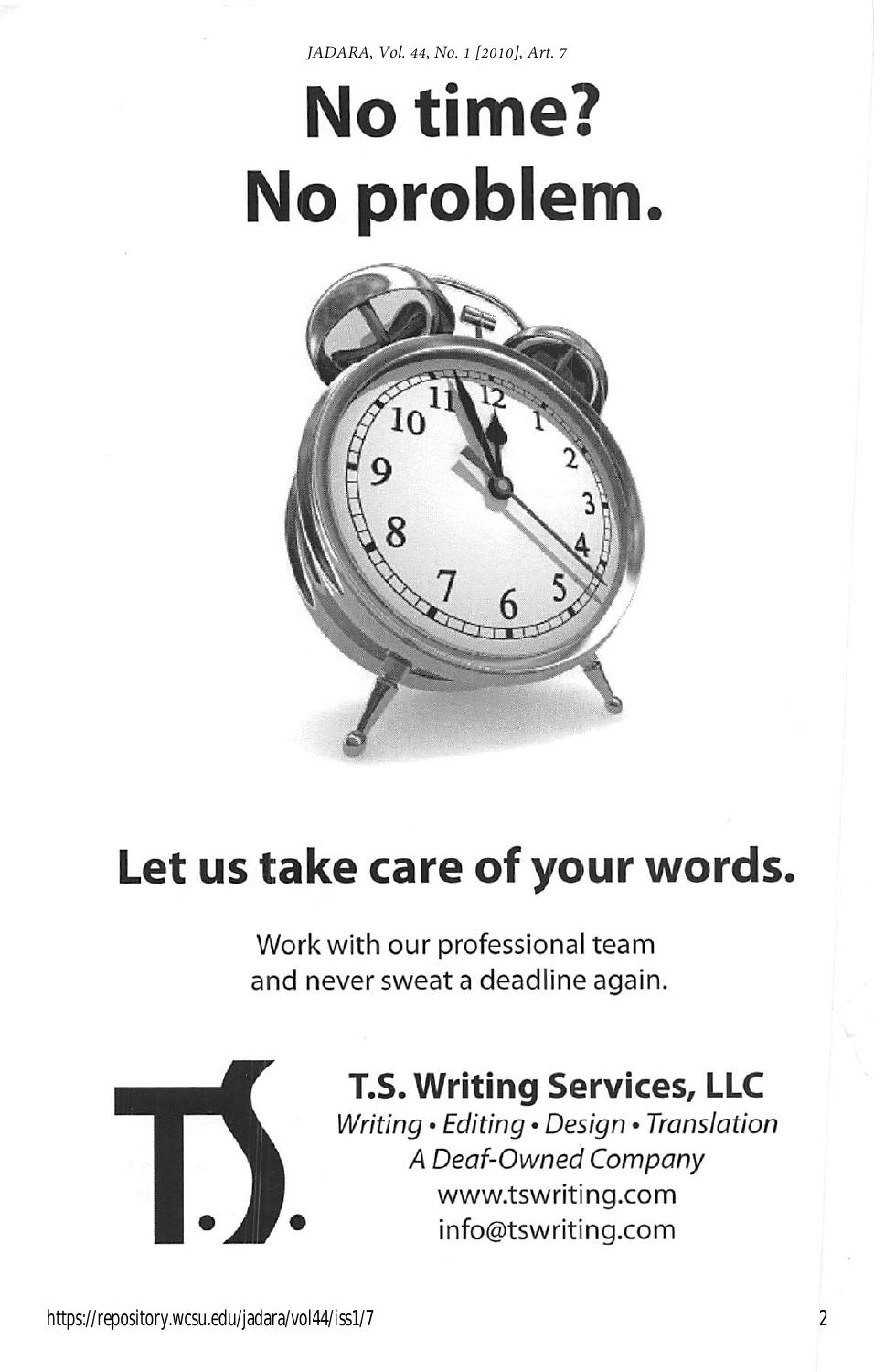*JADARA, Vol. 44, No. 1 [2010], Art. 7*

# No time? No problem



# Let us take care of your words.

Work with our professional team and never sweat a deadline again.



# T.S. Writing Services, LLC

Writing • Editing • Design • Translation A Deaf-Owned Company www.tswriting.com info@tswriting.com